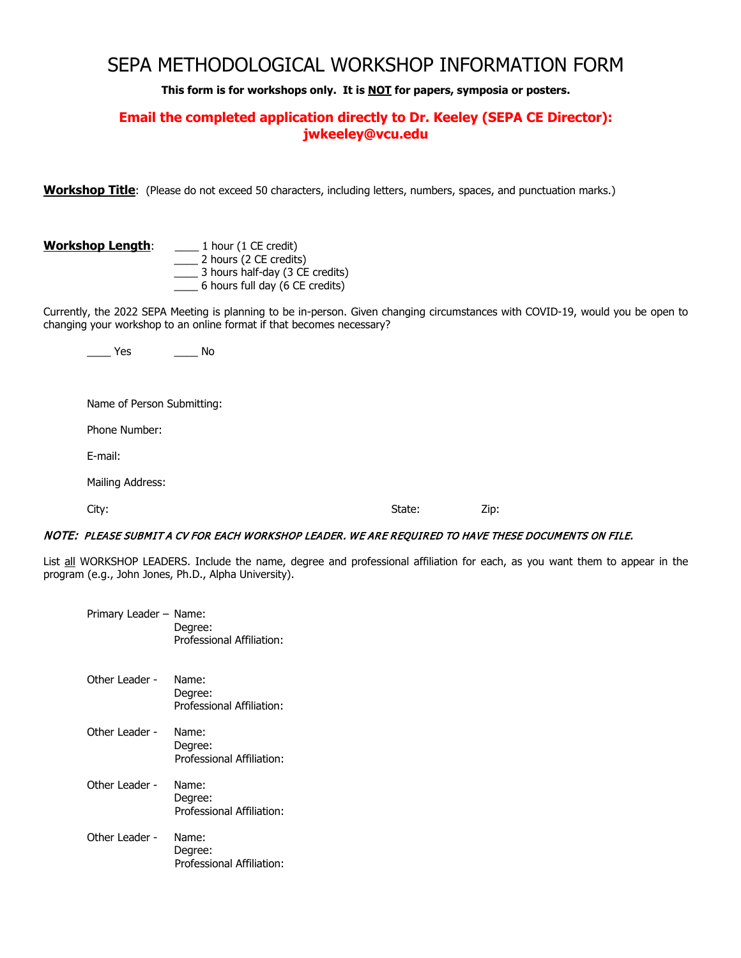# SEPA METHODOLOGICAL WORKSHOP INFORMATION FORM

**This form is for workshops only. It is NOT for papers, symposia or posters.**

# **Email the completed application directly to Dr. Keeley (SEPA CE Director): jwkeeley@vcu.edu**

**Workshop Title**: (Please do not exceed 50 characters, including letters, numbers, spaces, and punctuation marks.)

#### **Workshop Length**: \_\_\_\_ 1 hour (1 CE credit)

 \_\_\_\_ 2 hours (2 CE credits) \_\_\_\_ 3 hours half-day (3 CE credits) \_\_\_\_ 6 hours full day (6 CE credits)

Currently, the 2022 SEPA Meeting is planning to be in-person. Given changing circumstances with COVID-19, would you be open to changing your workshop to an online format if that becomes necessary?

\_\_\_\_ Yes \_\_\_\_ No

Name of Person Submitting:

Phone Number:

E-mail:

Mailing Address:

City: State: Zip:

#### NOTE: PLEASE SUBMIT A CV FOR EACH WORKSHOP LEADER. WE ARE REQUIRED TO HAVE THESE DOCUMENTS ON FILE.

List all WORKSHOP LEADERS. Include the name, degree and professional affiliation for each, as you want them to appear in the program (e.g., John Jones, Ph.D., Alpha University).

| Primary Leader - Name: | Degree:<br>Professional Affiliation:          |
|------------------------|-----------------------------------------------|
| Other Leader -         | Name:<br>Degree:<br>Professional Affiliation: |
| Other Leader -         | Name:<br>Degree:<br>Professional Affiliation: |
| Other Leader -         | Name:<br>Degree:<br>Professional Affiliation: |
| Other Leader -         | Name:<br>Degree:<br>Professional Affiliation: |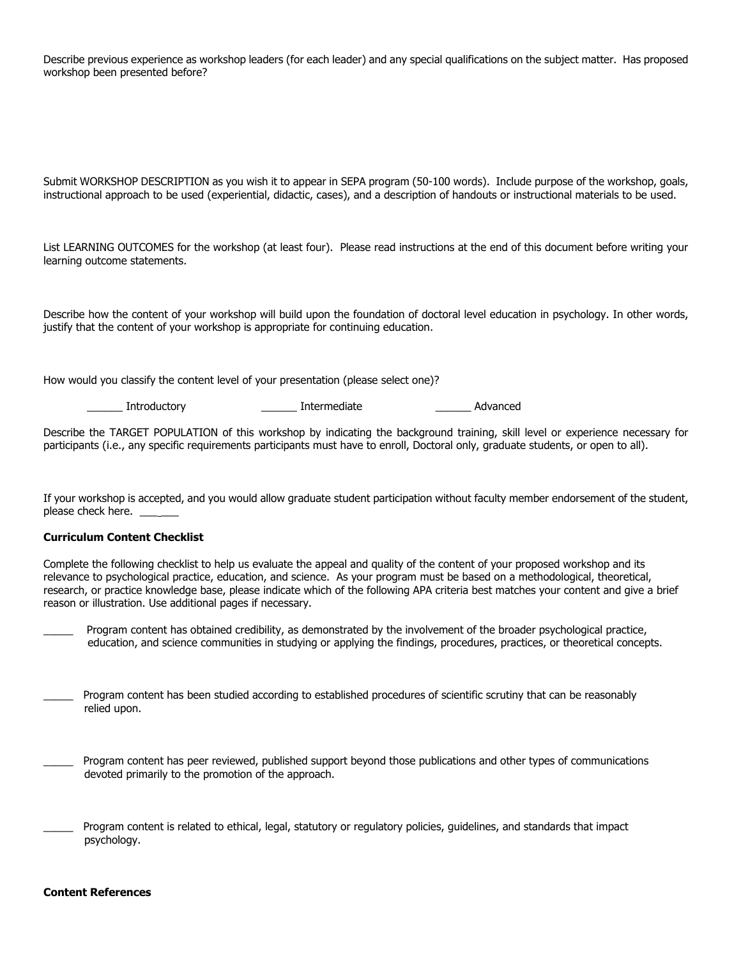Describe previous experience as workshop leaders (for each leader) and any special qualifications on the subject matter. Has proposed workshop been presented before?

Submit WORKSHOP DESCRIPTION as you wish it to appear in SEPA program (50-100 words). Include purpose of the workshop, goals, instructional approach to be used (experiential, didactic, cases), and a description of handouts or instructional materials to be used.

List LEARNING OUTCOMES for the workshop (at least four). Please read instructions at the end of this document before writing your learning outcome statements.

Describe how the content of your workshop will build upon the foundation of doctoral level education in psychology. In other words, justify that the content of your workshop is appropriate for continuing education.

How would you classify the content level of your presentation (please select one)?

Introductory The Intermediate and Advanced Advanced Entropy and Advanced Entropy and Advanced Entropy and Advanced

Describe the TARGET POPULATION of this workshop by indicating the background training, skill level or experience necessary for participants (i.e., any specific requirements participants must have to enroll, Doctoral only, graduate students, or open to all).

If your workshop is accepted, and you would allow graduate student participation without faculty member endorsement of the student, please check here.

#### **Curriculum Content Checklist**

Complete the following checklist to help us evaluate the appeal and quality of the content of your proposed workshop and its relevance to psychological practice, education, and science. As your program must be based on a methodological, theoretical, research, or practice knowledge base, please indicate which of the following APA criteria best matches your content and give a brief reason or illustration. Use additional pages if necessary.

Program content has obtained credibility, as demonstrated by the involvement of the broader psychological practice, education, and science communities in studying or applying the findings, procedures, practices, or theoretical concepts.

Program content has been studied according to established procedures of scientific scrutiny that can be reasonably relied upon.

Program content has peer reviewed, published support beyond those publications and other types of communications devoted primarily to the promotion of the approach.

Program content is related to ethical, legal, statutory or regulatory policies, guidelines, and standards that impact psychology.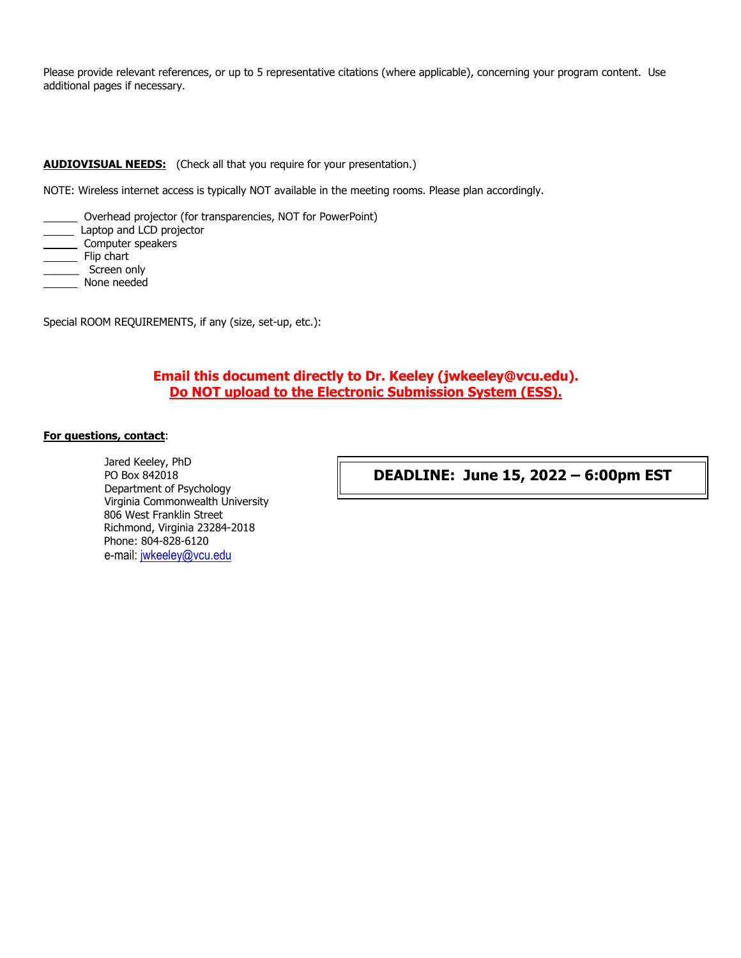Please provide relevant references, or up to 5 representative citations (where applicable), concerning your program content. Use additional pages if necessary.

#### **AUDIOVISUAL NEEDS:** (Check all that you require for your presentation.)

NOTE: Wireless internet access is typically NOT available in the meeting rooms. Please plan accordingly.

- Overhead projector (for transparencies, NOT for PowerPoint)
- Laptop and LCD projector
- \_\_\_\_ Computer speakers
- Flip chart
- \_\_\_\_\_\_ Screen only
- None needed

Special ROOM REQUIREMENTS, if any (size, set-up, etc.):

# **Email this document directly to Dr. Keeley (jwkeeley@vcu.edu). Do NOT upload to the Electronic Submission System (ESS).**

#### **For questions, contact**:

Jared Keeley, PhD PO Box 842018 Department of Psychology Virginia Commonwealth University 806 West Franklin Street Richmond, Virginia 23284-2018 Phone: 804-828-6120 e-mail: [jwkeeley@vcu.edu](mailto:jwkeeley@vcu.edu)

**DEADLINE: June 15, 2022 – 6:00pm EST**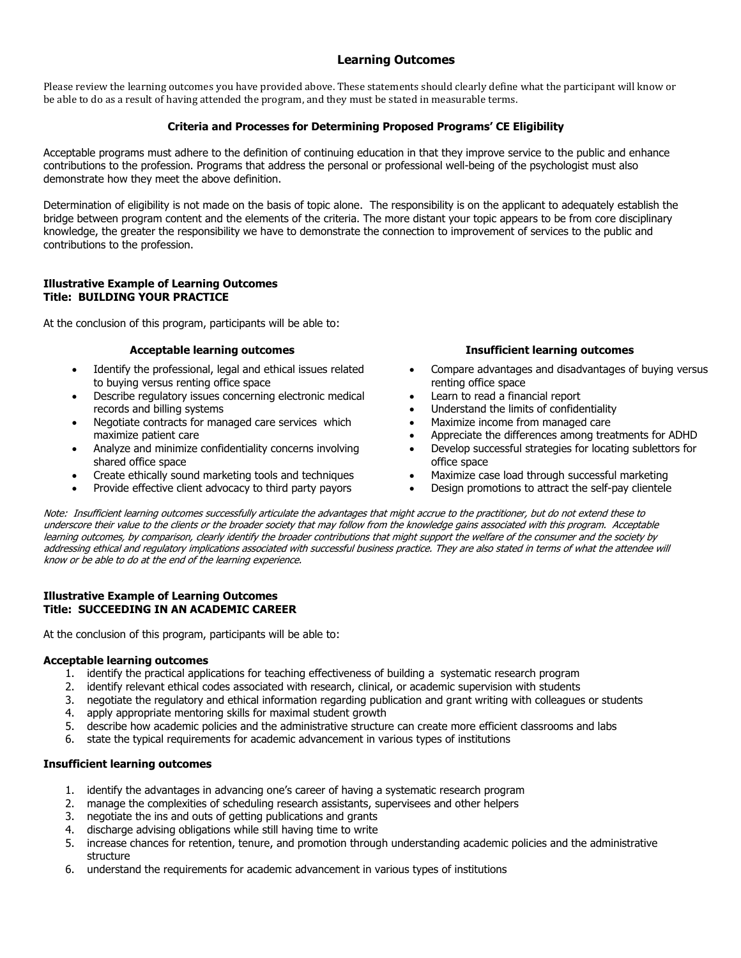# **Learning Outcomes**

Please review the learning outcomes you have provided above. These statements should clearly define what the participant will know or be able to do as a result of having attended the program, and they must be stated in measurable terms.

## **Criteria and Processes for Determining Proposed Programs' CE Eligibility**

Acceptable programs must adhere to the definition of continuing education in that they improve service to the public and enhance contributions to the profession. Programs that address the personal or professional well-being of the psychologist must also demonstrate how they meet the above definition.

Determination of eligibility is not made on the basis of topic alone. The responsibility is on the applicant to adequately establish the bridge between program content and the elements of the criteria. The more distant your topic appears to be from core disciplinary knowledge, the greater the responsibility we have to demonstrate the connection to improvement of services to the public and contributions to the profession.

#### **Illustrative Example of Learning Outcomes Title: BUILDING YOUR PRACTICE**

At the conclusion of this program, participants will be able to:

- Identify the professional, legal and ethical issues related to buying versus renting office space
- Describe regulatory issues concerning electronic medical records and billing systems
- Negotiate contracts for managed care services which maximize patient care
- Analyze and minimize confidentiality concerns involving shared office space
- Create ethically sound marketing tools and techniques Maximize case load through successful marketing
- Provide effective client advocacy to third party payors Design promotions to attract the self-pay clientele

#### **Acceptable learning outcomes Insufficient learning outcomes**

- Compare advantages and disadvantages of buying versus renting office space
- Learn to read a financial report
- Understand the limits of confidentiality
- Maximize income from managed care
- Appreciate the differences among treatments for ADHD
- Develop successful strategies for locating sublettors for office space
- 
- 

Note: Insufficient learning outcomes successfully articulate the advantages that might accrue to the practitioner, but do not extend these to underscore their value to the clients or the broader society that may follow from the knowledge gains associated with this program. Acceptable learning outcomes, by comparison, clearly identify the broader contributions that might support the welfare of the consumer and the society by addressing ethical and regulatory implications associated with successful business practice. They are also stated in terms of what the attendee will know or be able to do at the end of the learning experience.

#### **Illustrative Example of Learning Outcomes Title: SUCCEEDING IN AN ACADEMIC CAREER**

At the conclusion of this program, participants will be able to:

#### **Acceptable learning outcomes**

- 1. identify the practical applications for teaching effectiveness of building a systematic research program
- 2. identify relevant ethical codes associated with research, clinical, or academic supervision with students
- 3. negotiate the regulatory and ethical information regarding publication and grant writing with colleagues or students
- 4. apply appropriate mentoring skills for maximal student growth
- 5. describe how academic policies and the administrative structure can create more efficient classrooms and labs
- 6. state the typical requirements for academic advancement in various types of institutions

#### **Insufficient learning outcomes**

- 1. identify the advantages in advancing one's career of having a systematic research program
- 2. manage the complexities of scheduling research assistants, supervisees and other helpers
- 3. negotiate the ins and outs of getting publications and grants
- 4. discharge advising obligations while still having time to write
- 5. increase chances for retention, tenure, and promotion through understanding academic policies and the administrative structure
- 6. understand the requirements for academic advancement in various types of institutions